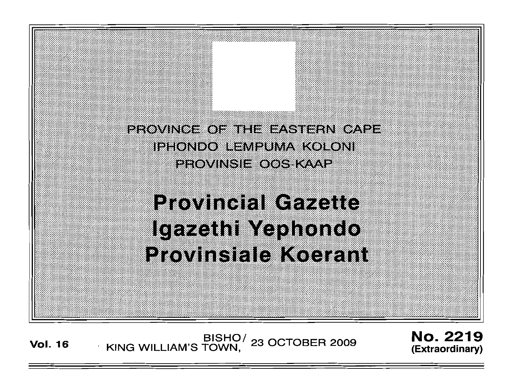PROVINCE OF THE EASTERN CAPE iphondo hempuma kokoni PROVINSIE OOS KAAP

> **Provincial Gazette** Igazath Maphondo **Provinsiale Koerant**

EISHO/ 23 OCTOBER 2009<br>KING WILLIAM'S TOWN, **Vol. 16** 

**No. 2219** (Extraordinary)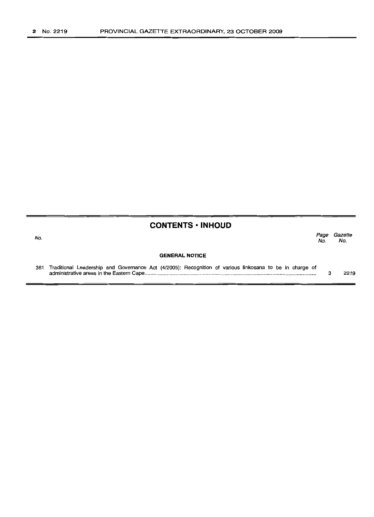#### **CONTENTS • INHOUD**

No.

*Page Gazette* No. No.

#### **GENERAL NOTICE**

361 Traditional Leadership and Governance Act (4/2005): Recognition of various linkosana to be in charge of administrative areas in the Eastern Cape .. 3 2219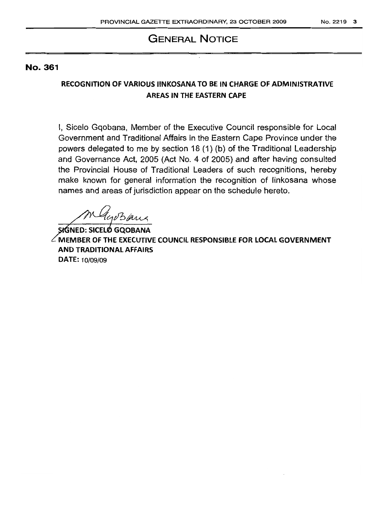# **GENERAL NOTICE**

#### No. 361

## **RECOGNITION OF VARIOUS** liNKOSANA **TO BE IN CHARGE** OF ADMINISTRATIVE **AREAS IN THE EASTERN CAPE**

I, Sicelo Gqobana, Member of the Executive Council responsible for Local Government and Traditional Affairs in the Eastern Cape Province under the powers delegated to me by section 18 (1) (b) of the Traditional Leadership and Governance Act, 2005 (Act No.4 of 2005) and after having consulted the Provincial House of Traditional Leaders of such recognitions, hereby make known for general information the recognition of linkosana whose names and areas of jurisdiction appear on the schedule hereto.

Gersaux

**NED: SICEl GQOBANA MEMBER OF THE EXECUTIVE COUNCil RESPONSIBLE FOR LOCAL GOVERNMENT AND TRADITIONAL AFFAIRS DATE:** 10/09/09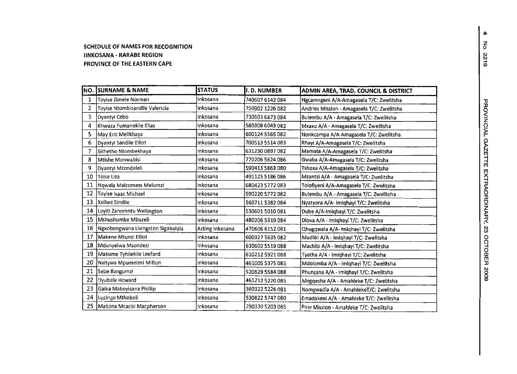#### **SCHEDULE OF NAMES FOR RECOGNITION IINKOSANA - RARABE REGION PROVINCE OF THE EASTERN CAPE**

|    | <b>NO. SURNAME &amp; NAME</b>      | <b>STATUS</b>   | I.D. NUMBER     | ADMIN AREA, TRAD. COUNCIL & DISTRICT       |
|----|------------------------------------|-----------------|-----------------|--------------------------------------------|
| 1  | Toyise Zimele Norman               | Inkosana        | 740607 6142 084 | Ngcamngeni A/A-Amagasela T/C: Zwelitsha    |
| 2  | Toyise Ntombizandile Valencia      | Inkosana        | 750902 1226 082 | Andries Mission - Amagasela T/C: Zwelitsha |
| 3  | Dyantyi Cebo                       | Inkosana        | 730603 6473 084 | Bulembu A/A - Amagasela T/C: Zwelitsha     |
| 4  | Khwaza Fumanekile Elias            | Inkosana        | 580308 6043 082 | Mxaxo A/A - Amagasela T/C: Zwelitsha       |
| 5  | May Eric Melikhaya                 | Inkosana        | 600124 5565 082 | Nonkcampa A/A-Amagasela T/C: Zwelitsha     |
| 6  | Dyantyi Sandile Elliot             | Inkosana        | 700513 5514 083 | Rhayi A/A-Amagasela T/C: Zwelitsha         |
|    | Sithetho Ntombekhaya               | Inkosana        | 631230 0897 082 | Mamata A/A-Amagasela T/C: Zwelitsha        |
| 8  | Mtishe Monwabisi                   | Inkosana        | 770206 5624 086 | Gwaba A/A-Amagasela T/C: Zwelitsha         |
| 9  | Dyantyi Mzondeleli                 | inkosana        | 590413 5863 080 | Tshoxa A/A-Amagasela T/C: Zwelitsha        |
| 10 | Toise Liza                         | Inkosana        | 491125 5186 086 | Mzantsi A/A - Amagasela T/C: Zwelitsha     |
| 11 | Ngwala Malcomess Melumzi           | Inkosana        | 680423 5772 083 | Tolofiyeni A/A-Amagasela T/C: Zwelitsha    |
| 12 | Toyise Isaac Michael               | Inkosana        | 590220 5772 082 | Bulembu A/A - Amagasela T/C: Zwelitsha     |
| 13 | Xeliwe Sindile                     | Inkosana        | 560711 5382 084 | Nyatyora A/A- Imiqhayi T/C: Zwelitsha      |
| 14 | Loyiti Zanomntu Wellington         | Inkosana        | 530601 5010 081 | Dube A/A-Imighayi T/C: Zwelitsha           |
| 15 | Mshushumbe Mbuzeli                 | inkosana        | 480206 5319 084 | Dlova A/A - Imighayi T/C: Zwelitsha        |
| 16 | Ngxobongwana Livingston Sigabalala | Acting Inkosana | 470606 6152 081 | Qhugqwala A/A-1miqhayi T/C: Zwelitsha      |
| 17 | Makene Mtunzi Elliot               | Inkosana        | 600327 5635 082 | Madliki A/A - Imiqhayi T/C: Zwelitsha      |
| 18 | Mdunyelwa Msondezi                 | inkosana        | 630602 5519 088 | Machibi A/A - Imiqhayi T/C: Zwelitsha      |
| 19 | Makume Tyhilekile Leeford          | Inkosana        | 610212 5921 088 | Tyatha A/A - Imiqhayi T/C: Zwelitsha       |
| 20 | Nxitywa Mpumeleni Milton           | Inkosana        | 461005 5375 085 | Mdolomba A/A - Imiqhayi T/C: Zwelitsha     |
| 21 | Sebe Bangumzi                      | Inkosana        | 520629 5584 088 | Phunzana A/A - Imiqhayi T/C: Zwelitsha     |
| 22 | Dyubele Howard                     | Inkosana        | 461212 5220 085 | Mngqesha A/A - Amahleke T/C: Zwelitsha     |
| 23 | Gaika Maboyisana Phillip           | Inkosana        | 360322 5226 081 | Nomgwadla A/A - AmahlekeT/C: Zwelitsha     |
| 24 | Lucingo Mthobeli                   | Inkosana        | 530822 5747 080 | Emadakeni A/A - Amahleke T/C: Zwelitsha    |
| 25 | Mabona Mcacisi Macpherson          | Inkosana        | 290330 5203 085 | Pirie Mission - Amahleke T/C: Zwelitsha    |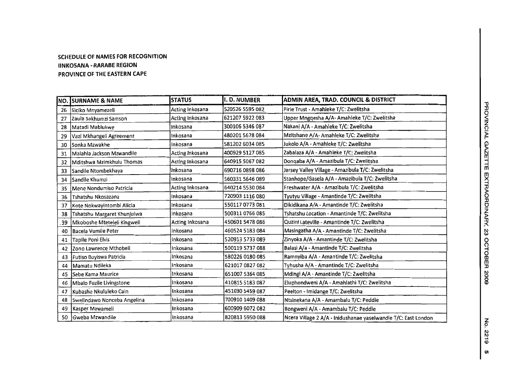#### **SCHEDULE OF NAMES FOR RECOGNITION IINKOSANA - RARABE REGION PROVINCE OF THE EASTERN CAPE**

|     | <b>NO. SURNAME &amp; NAME</b> | <b>STATUS</b>   | I.D. NUMBER     | ADMIN AREA, TRAD. COUNCIL & DISTRICT                           |
|-----|-------------------------------|-----------------|-----------------|----------------------------------------------------------------|
| 26  | Siciko Mnyamezeli             | Acting Inkosana | 520526 5595 082 | Pirie Trust - Amahleke T/C: Zwelitsha                          |
| 27  | Zaula Sakhumzi Samson         | Acting Inkosana | 621207 5922 083 | Upper Mngqesha A/A- Amahleke T/C: Zwelitsha                    |
| 28  | Matadi Mablukwe               | Inkosana        | 300106 5346 087 | Nakani A/A - Amahleke T/C: Zwelitsha                           |
| 29  | Vazi Mkhangeli Agreement      | inkosana        | 480201 5678 084 | Mzitshane A/A- Amahleke T/C: Zwelitsha                         |
| 30  | Sonka Mzwakhe                 | Inkosana        | 581202 6034 085 | Jukolo A/A - Amahleke T/C: Zwelitsha                           |
| 31  | Malahla Jackson Mzwandile     | Acting Inkosana | 400929 5127 085 | Zabalaza A/A - Amahleke T/C: Zwelitsha                         |
| 32  | Mditshwa Mzimkhulu Thomas     | Acting Inkosana | 640915 5067 082 | Donqaba A/A - Amazibula T/C: Zwelitsha                         |
| 33  | Sandile Ntombekhaya           | Inkosana        | 690716 0898 086 | Jersey Valley Village - Amazibula T/C: Zwelitsha               |
| 34  | lSandile Khumzi               | Inkosana        | 560331 5646 089 | Stanhope/Gasela A/A - Amazibula T/C: Zwelitsha                 |
| 35  | Mene Nondumiso Patricia       | Acting Inkosana | 640214 5530 084 | Freshwater A/A - Amazibula T/C: Zwelitsha                      |
| 36  | Tshatshu Nkosazana            | Inkosana        | 720903 1116 080 | Tyutyu Village - Amantinde T/C: Zwelitsha                      |
| 37  | Kote Nokwayintombi Alicia     | Inkosana        | 550117 0773 081 | Dikidikana A/A - Amantinde T/C: Zwelitsha                      |
| 38  | Tshatshu Margaret Khunjulwa   | Inkosana        | 500311 0766 085 | Tshatshu Location - Amantinde T/C: Zwelitsha                   |
| .39 | Mkoboshe Mteteleli Kingwell   | Acting Inkosana | 450601 5478 086 | Quzini Lateville - Amantinde T/C: Zwelitsha                    |
| 40  | Bacela Vumile Peter           | Inkosana        | 460524 5183 084 | Masingatha A/A - Amantinde T/C: Zwelitsha                      |
| 41  | Tapile Poni Elvis             | Inkosana        | 520913 5733 089 | Zinyoka A/A - Amantinde T/C: Zwelitsha                         |
| 42  | Izono Lawrence Mthobeli       | inkosana        | 500119 5737 088 | Balasi A/a - Amantinde T/C: Zwelitsha                          |
| 43  | Futiso Buyiswa Patricia       | Inkosana        | 580226 0180 085 | Ramnyiba A/A - Amantinde T/C: Zwelitsha                        |
| 44  | Mamatu Ndileka                | Inkosana        | 621017 0827 082 | Tyhusha A/A - Amantinde T/C: Zwelitsha                         |
| 45  | <b>Sebe Kama Maurice</b>      | Inkosana        | 651007 5364 085 | Mdingi A/A - Amantinde T/C: Zwelitsha                          |
| 46  | Mbalo Fuzile Livingstone      | Inkosana        | 410815 5183 087 | Eluphondweni A/A - Amahlathi T/C: Zwelitsha                    |
| 47  | Kubashe Nkululeko Cain        | Inkosana        | 451030 5459 087 | Peelton - Imidange T/C: Zwelitsha                              |
| 48  | Swelindawo Nonceba Angelina   | Inkosana        | 700910 1409 088 | Ntsinekana A/A - Amambalu T/C: Peddie                          |
| 49  | Kasper Mzwameli               | Inkosana        | 600909 6072 082 | Bongweni A/A - Amambalu T/C: Peddie                            |
| 50  | Gweba Mzwandile               | Inkosana        | 820813 5950 088 | Ncera Village 2 A/A - Inidushanae yaselwandle T/C: East London |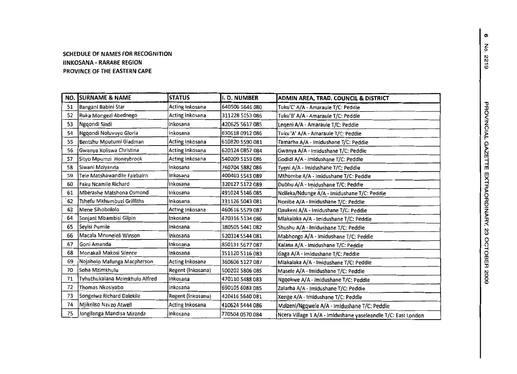#### **SCHEDULE OF NAMES FOR RECOGNITION lINKOSANA - RARABE REGION PROVINCE OF THE EASTERN CAPE**

| NO. | <b>SURNAME &amp; NAME</b>      | <b>STATUS</b>     | I. D. NUMBER    | ADMIN AREA, TRAD. COUNCIL & DISTRICT                          |
|-----|--------------------------------|-------------------|-----------------|---------------------------------------------------------------|
| 51  | Bangani Babini Star            | Acting Inkosana   | 640506 5646 080 | Tuku'C' A/A - Amaraule T/C: Peddie                            |
| 52  | Ruka Mongezi Abednego          | Acting Inkosana   | 311228 5153 086 | Tuku'B' A/A - Amaraule T/C: Peddie                            |
| 53  | Ngqondi Sindi                  | inkosana          | 420625 5617 085 | Legeni A/A - Amaraule T/C: Peddie                             |
| 54  | Ngqondi Noluvuyo Gloria        | inkosana          | 630618 0912 086 | Tuku 'A' A/A - Amaraule T/C: Peddie                           |
| 55  | Bentshu Mputumi Gladman        | Acting Inkosana   | 610820 5590 081 | Tamarha A/A - Imidushane T/C: Peddie                          |
| 56  | Gwanya Xoliswa Christina       | Acting Inkosana   | 620124 0857 084 | Gwanya A/A - Imidushane T/C: Peddie                           |
| 57  | Sityo Mpumzi Honeybrook        | Acting Inkosana   | 540209 5159 086 | Godidi A/A - Imidushane T/C: Peddie                           |
| 58  | Siwani Mziyanda                | Inkosana          | 760704 5882 086 | Tyeni A/A - Imidushane T/C: Peddie                            |
| 59  | Tele Matshawandile Fairbairn   | Inkosana          | 400403 5543 089 | Mthombe A/A - Imidushane T/C: Peddie                          |
| 60  | Faku Ncamile Richard           | Inkosana          | 320127 5172 089 | Dubhu A/A - Imidushane T/C: Peddie                            |
| 61  | Mberashe Matshona Osmond       | Inkosana          | 491024 5146 085 | Ndileka/Ndunge A/A - Imidushane T/C: Peddie                   |
| 62  | Tshefu Mkhumbuzi Griffiths     | Inkosana          | 331126 5043 081 | Nonibe A/A - Imidushane T/C: Peddie                           |
| 63  | Mene Sihobololo                | Acting Inkosana   | 460616 5579 087 | Qaukeni A/A - Imidushane T/C: Peddie                          |
| 64  | Sonjani Mbambisi Gilpin        | Inkosana          | 470316 5134 086 | Mlakalaka A/A - Imidushane T/C: Peddie                        |
| 65  | Seyisi Pumile                  | Inkosana          | 380505 5441 082 | Shushu A/A - Imidushane T/C: Peddie                           |
| 66  | Macala Mnoneleli Winson        | Inkosana          | 520314 5544 081 | Mabhongo A/A - Imidushane T/C: Peddie                         |
| 67  | Goni Amanda                    | Inkosana          | 850131 5677 087 | Kalana A/A - Imidushane T/C: Peddie                           |
| 68  | Monakali Makosi Silence        | Inkosana          | 351120 5116 083 | Gaga A/A - Imidushane T/C: Peddie                             |
| 69  | Nojaholo Mafunga Macpherson    | Acting Inkosana   | 360606 5127 087 | Mlakalaka A/A - Imidushane T/C: Peddie                        |
| 70  | Soha Mzimkhulu                 | Regent (Inkosana) | 500202 5806 085 | Masele A/A - Imidushane T/C: Peddie                           |
| 71  | Tyhuthukalana Mzimkhulu Alfred | Inkosana          | 470110 5488 083 | Ngqokwe A/A - Imidushane T/C: Peddie                          |
| 72  | Thomas Nkosiyabo               | Inkosana          | 690105 6083 085 | Zalarha A/A - Imidushane T/C: Peddie                          |
| 73  | Songelwa Richard Dalekile      | Regent (Inkosana) | 420416 5640 081 | Xenge A/A - Imidushane T/C: Peddie                            |
| 74  | Mjikeliso Nzuzo Atwell         | Acting Inkosana   | 410624 5444 086 | Mdizeni/Ngqwele A/A - Imidushane T/C: Peddie                  |
| 75  | Jongilanga Mandisa Miranda     | Inkosana          | 770504 0570 084 | Ncera Village 1 A/A - Imidushane yaseleandle T/C: East London |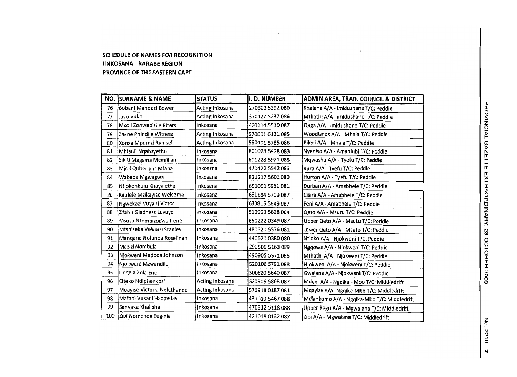#### **SCHEDULE OF NAMES FOR RECOGNITION IINKOSANA . RARABE REGION PROVINCE OF THE EASTERN CAPE**

|     | <b>NO. SURNAME &amp; NAME</b> | <b>STATUS</b>   | I.D. NUMBER     | ADMIN AREA, TRAD. COUNCIL & DISTRICT        |
|-----|-------------------------------|-----------------|-----------------|---------------------------------------------|
| 76  | Bobani Manquzi Bowen          | Acting Inkosana | 270303 5392 080 | Khalana A/A - Imidushane T/C: Peddie        |
| 77  | Javu Vuko                     | Acting Inkosana | 370127 5237 086 | Mthathi A/A - Imidushane T/C: Peddie        |
| 78  | Mxoli Zonwabisile Riters      | Inkosana        | 420114 5510 087 | Qaga A/A - imidushane T/C: Peddie           |
| 79  | Zakhe Phindile Witness        | Acting Inkosana | 570601 6131 085 | Woodlands A/A - Mhala T/C: Peddie           |
| 80  | Xonxa Mpumzi Rumsell          | Acting Inkosana | 560401 5785 086 | Pikoli A/A - Mhala T/C: Peddie              |
| 81  | Mhlauli Ngabayethu            | Inkosana        | 801028 5428 083 | Nyaniso A/A - Amahiubi T/C: Peddie          |
| 82  | Sikiti Magama Mcmillian       | Inkosana        | 601228 5921 085 | Mqwashu A/A - Tyefu T/C: Peddie             |
| 83  | Mjoli Quiteright Mfana        | Inkosana        | 470422 5542 086 | Rura A/A - Tyefu T/C: Peddie                |
| 84  | Wababa Mgwagwa                | Inkosana        | 821217 5601 080 | Horton A/A - Tyefu T/C: Peddie              |
| 85  | Ntlokonkulu Khayalethu        | Inkosana        | 651001 5961 081 | Durban A/A - Amabhele T/C: Peddie           |
| 86  | Kaulele Mzikayise Welcome     | Inkosana        | 630804 5709 087 | Cisira A/A - Amabhele T/C: Peddie           |
| 87  | Ngwekazi Vuyani Victor        | Inkosana        | 630815 5849 087 | Feni A/A - Amabhele T/C: Peddie             |
| 88  | Zitshu Gladness Luvuyo        | Inkosana        | 510903 5628 084 | Qeto A/A - Msutu T/C: Peddie                |
| 89  | Msutu Ntombizodwa Irene       | Inkosana        | 650222 0349 087 | Upper Qeto A/A - Msutu T/C: Peddie          |
| 90  | Mtshiseka Velumzi Stanley     | Inkosana        | 480620 5576 081 | Lower Qeto A/A - Msutu T/C: Peddie          |
| 91  | Mangana Nofunda Roselinah     | Inkosana        | 440621 0380 080 | Ntloko A/A - Njokweni T/C: Peddie           |
| 92  | lMazizi Nombula               | Inkosana        | 290506 5163 089 | Ngqowa A/A - Njokweni T/C: Peddie           |
| 93  | Njokweni Madoda Johnson       | Inkosana        | 490905 5571 085 | Mthathi A/A - Njokweni T/C: Peddie          |
| 94  | Njokweni Mzwandile            | Inkosana        | 520106 5791 088 | Njokweni A/A - Njokweni T/C: Peddie         |
| 95  | Lingela Zola Eric             | Inkosana        | 500820 5640 087 | Gwalana A/A - Njokweni T/C: Peddie          |
| 96  | Citeko Ndiphenkosi            | Acting Inkosana | 520906 5868 087 | Mdeni A/A - Ngqika - Mbo T/C: Middledrift   |
| 97  | Mgayise Victoria Noluthando   | Acting Inkosana | 570918 0187 081 | Mqayise A/A -Ngqika-Mbo T/C: Middledrift    |
| 98  | Mafani Vusani Happyday        | Inkosana        | 431019 5467 088 | Mdlankomo A/A - Ngqika-Mbo T/C: Middledrift |
| 99  | Sanyaka Khalipha              | Inkosana        | 470312 5118 088 | Upper Regu A/A - Mgwalana T/C: Middledrift  |
| 100 | Zibi Nomonde Euginia          | Inkosana        | 421018 0132 087 | Zibi A/A - Mgwalana T/C: Middledrift        |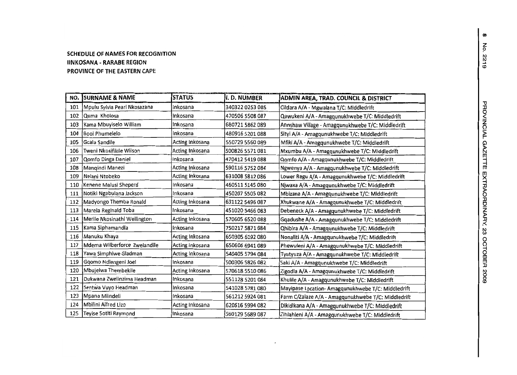#### **SCHEDULE OFNAMESFOR RECOGNITION IINKOSANA· RARABE REGION PROVINCE OFTHE EASTERN CAPE**

| NO. | <b>ISURNAME &amp; NAME</b>   | <b>STATUS</b>   | I. D. NUMBER    | ADMIN AREA, TRAD. COUNCIL & DISTRICT                |
|-----|------------------------------|-----------------|-----------------|-----------------------------------------------------|
| 101 | Mpulu Sylvia Pearl Nkosazana | inkosana        | 340322 0253 085 | Cildara A/A - Mgwalana T/C: Middledrift             |
| 102 | Quma Kholosa                 | Inkosana        | 470506 5508 087 | Qawukeni A/A - Amagqunukhwebe T/C: Middledrift      |
| 103 | Kama Mbuyiselo William       | Inkosana        | 680721 5862 089 | Annshaw Village - Amagqunukhwebe T/C: Middledrift   |
| 104 | Booi Phumelelo               | Inkosana        | 480916 5201 088 | Sityi A/A - Amagqunukhwebe T/C: Middledrift         |
| 105 | Gcala Sandile                | Acting Inkosana | 550729 5560 089 | Mfiki A/A - Amagqunukhwebe T/C: Middledrift         |
| 106 | Tweni Nkosifikile Wilson     | Acting Inkosana | 500826 5571 081 | Mxumbu A/A - Amagqunukhwebe T/C: Middledrift        |
| 107 | Qomfo Dinga Daniel           | ∤nkosana        | 470412 5419 088 | Qomfo A/A - Amagqunukhwebe T/C: Middledrift         |
| 108 | Mangindi Manezi              | Acting Inkosana | 590116 5752 084 | Ngwenya A/A - Amagqunukhwebe T/C: Middledrift       |
| 109 | Nelani Ntobeko               | Acting Inkosana | 631008 5812 086 | Lower Regu A/A - Amagqunukhwebe T/C: Middledrift    |
| 110 | Kenene Malusi Sheperd        | Inkosana        | 460511 5145 080 | Njwaxa A/A - Amagqunukhwebe T/C: Middledrift        |
| 111 | Notiki Ngabulana Jackson     | Inkosana        | 450207 5505 082 | Mbizana A/A - Amagqunukhwebe T/C: Middledrift       |
| 112 | Madyongo Themba Ronald       | Acting Inkosana | 631122 5496 087 | Xhukwane A/A - Amagqunukhwebe T/C: Middledrift      |
| 113 | Marela Reginald Toba         | Inkosana        | 451020 5466 083 | Debeneck A/A - Amagqunukhwebe T/C: Middledrift      |
| 114 | Merile Nkosinathi Wellington | Acting Inkosana | 570605 6520 088 | Gqadushe A/A - Amagqunukhwebe T/C: Middledrift      |
| 115 | Kama Siphamandla             | Inkosana        | 750217 5871 084 | Qhibira A/A - Amagqunukhwebe T/C: Middledrift       |
| 116 | Manuku Khaya                 | Acting Inkosana | 650305 6192 080 | Nonaliti A/A - Amagqunukhwebe T/C: Middledrift      |
| 117 | Mdema Wilberforce Zwelandile | Acting Inkosana | 650606 6941 089 | Phewuleni A/A - Amagqunukhwebe T/C: Middledrift     |
| 118 | Yawa Simphiwe Gladman        | Acting Inkosana | 540405 5794 084 | Tyutyuza A/A - Amagqunukhwebe T/C: Middledrift      |
| 119 | Gqomo Ndlengeni Joel         | Inkosana        | 500306 5826 082 | Saki A/A - Amagqunukhwebe T/C: Middledrift          |
| 120 | Mbujelwa Thembekile          | Acting Inkosana | 570618 5510 086 | Zigodla A/A - Amagqunukhwebe T/C: Middledrift       |
| 121 | Dukwana Zwelinzima Headman   | Inkosana        | 551128 5201 084 | Khulile A/A - Amagqunukhwebe T/C: Middledrift       |
| 122 | Sentwa Vuyo Headman          | Inkosana        | 541028 5781 080 | Mayipase Location- Amagqunukhwebe T/C: Middledrift  |
| 123 | Mpana Mlindeli               | Inkosana        | 561212 5924 081 | Farm C/Zalaze A/A - Amagqunukhwebe T/C: Middledrift |
| 124 | Mbilini Alfred Lizo          | Acting Inkosana | 620616 5994 082 | Dikidikana A/A - Amagqunukhwebe T/C: Middledrift    |
| 125 | Teyise Sotiti Raymond        | Inkosana        | 560129 5689 087 | Zihlahleni A/A - Amagqunukhwebe T/C: Middledrift    |

 $\sim$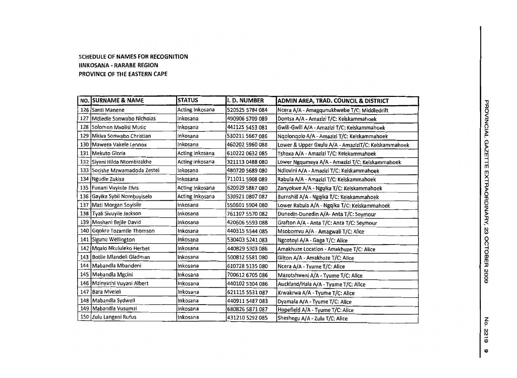#### **SCHEDULE OF NAMES FOR RECOGNITION IINKOSANA - RARABE REGION PROVINCE OF THE EASTERN CAPE**

| NO. SURNAME & NAME            | <b>STATUS</b>   | <b>I. D. NUMBER</b> | ADMIN AREA, TRAD. COUNCIL & DISTRICT                |
|-------------------------------|-----------------|---------------------|-----------------------------------------------------|
| 126 Santi Manene              | Acting Inkosana | 520525 5784 084     | Ncera A/A - Amagqunukhwebe T/C: Middledrift         |
| 127 Mdledle Sonwabo Nicholas  | Inkosana        | 490906 5709 089     | Dontsa A/A - Amazizi T/C: Keiskammahoek             |
| 128 Solomon Mxolisi Music     | Inkosana        | 441125 5453 081     | Gwili-Gwili A/A - Amazizi T/C: Keiskammahoek        |
| 129 Mkiya Sonwabo Christian   | Inkosana        | 530211 5667 086     | Nqolonqolo A/A - Amazizi T/C: Keiskammahoek         |
| 130 Maweza Vakele Lennox      | Inkosana        | 460202 5960 088     | Lower & Upper Gxulu A/A - AmaziziT/C: Keiskammahoek |
| 131   Mekuto Gloria           | Acting Inkosana | 610222 0632 085     | Tshoxa A/A - Amazizi T/C: Keiskammahoek             |
| 132 Siyeni Hilda Ntombizakhe  | Acting Inkosana | 321113 0488 080     | Lower Ngqumeya A/A - Amazizi T/C: Keiskammahoek     |
| 133 Socishe Mzwamadoda Zestei | Inkosana        | 480720 5689 080     | Ndlovini A/A - Amazizi T/C: Keiskammahoek           |
| 134 Ngudle Zukisa             | Inkosana        | 711011 5908 089     | Rabula A/A - Amazizi T/C: Keiskammahoek             |
| 135 Funani Vuyisile Elvis     | Acting Inkosana | 620929 5867 080     | Zanyokwe A/A - Ngqika T/C: Keiskammahoek            |
| 136 Gayika Sybil Nombuyiselo  | Acting Inkosana | 530921 0807 087     | Burnshill A/A - Ngqika T/C: Keiskammahoek           |
| 137 Mati Morgan Soyisile      | Inkosana        | 550601 5904 080     | Lower Rabula A/A - Ngqika T/C: Keiskammahoek        |
| 138 Tyali Sivuyile Jackson    | Inkosana        | 761107 5570 082     | Dunedin-Dunedin A/A- Anta T/C: Seymour              |
| 139 Moshani Bejile David      | Inkosana        | 420606 5593 088     | Grafton A/A - Anta T/C: Anta T/C: Seymour           |
| 140 Gqokro Tozamile Thomson   | Inkosana        | 440315 5544 085     | Msobomvu A/A - Amagwali T/C: Alice                  |
| 141 Sigunu Wellington         | Inkosana        | 530403 5241 083     | Ngcotoyi A/A - Gaga T/C: Alice                      |
| 142 Mgalo Nkululeko Herbet    | Inkosana        | 440829 5303 086     | Amakhuze Location - Amakhuze T/C: Alice             |
| 143 Botile Mlandeli Gladman   | Inkosana        | 500812 5581 080     | Gilton A/A - Amakhuze T/C: Alice                    |
| 144 Mabandla Mbandeni         | Inkosana        | 610728 5135 080     | Ncera A/A - Tyume T/C: Alice                        |
| 145 Mabandla Mgcini           | Inkosana        | 700612 6705 086     | Mazotshweni A/A - Tyume T/C: Alice                  |
| 146 Mzinyathi Vuyani Albert   | Inkosana        | 440102 5304 086     | Auckland/Hala A/A - Tyume T/C: Alice                |
| 147 Bara Mveleli              | Inkosana        | 621115 5531 087     | Krwakrwa A/A - Tyume T/C: Alice                     |
| 148 Mabandla Sydwell          | Inkosana        | 440911 5487 083     | Dyamala A/A - Tyume T/C: Alice                      |
| 149 Mabandla Vusumzi          | Inkosana        | 680826 5871 087     | Hopefield A/A - Tyume T/C: Alice                    |
| 150 Zulu Langeni Rufus        | Inkosana        | 431210 5292 085     | Sheshegu A/A - Zulu T/C: Alice                      |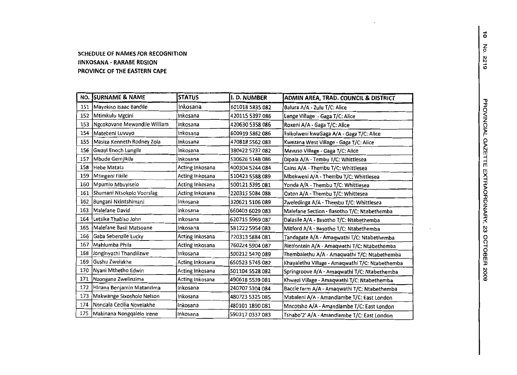#### SCHEDULE OF NAMES FOR RECOGNITIONIINKOSANA· RARABE REGIONPROVINCE OF THE EASTERN CAPE

| NO. | <b>SURNAME &amp; NAME</b>     | <b>STATUS</b>   | II. D. NUMBER   | ADMIN AREA, TRAD. COUNCIL & DISTRICT            |
|-----|-------------------------------|-----------------|-----------------|-------------------------------------------------|
| 151 | Mayekiso Isaac Bandile        | Inkosana        | 601018 5835 082 | Balura A/A - Zulu T/C: Alice                    |
| 152 | Mtimkulu Mgcini               | Inkosana        | 420115 5397 086 | Lenge Village - Gaga T/C: Alice                 |
| 153 | Ngcokovane Mewandile William  | Inkosana        | 420630 5358 086 | Roxeni A/A - Gaga T/C: Alice                    |
| 154 | Matebeni Luvuyo               | Inkosana        | 600919 5862 086 | Esikolweni kwaGaga A/A - Gaga T/C: Alice        |
| 155 | Masiza Kenneth Rodney Zola    | Inkosana        | 470818 5562 083 | Kwezana West Village - Gaga T/C: Alice          |
| 156 | Gwayi Enoch Lungile           | Inkosana        | 380422 5237 082 | Mavuso Village - Gaga T/C: Alice                |
| 157 | Mbude Gemjikile               | Inkosana        | 530626 5148 086 | Dipala A/A - Tembu T/C: Whittlesea              |
| 158 | Hebe Matata                   | Acting Inkosana | 400304 5244 084 | Cains A/A - Thembu T/C: Whittlesea              |
| 159 | Mtingeni Fikile               | Acting Inkosana | 510423 5588 089 | Mbekweni A/A - Thembu T/C: Whittlesea           |
| 160 | Mpumlo Mbuyiselo              | Acting Inkosana | 500121 5395 081 | Yonda A/A - Thembu T/C: Whittlesea              |
| 161 | Shumani Ntsokolo Voorslag     | Acting Inkosana | 220315 5084 088 | Oxton A/A - Thembu T/C: Whittesea               |
| 162 | Bungani Nkintshimani          | Inkosana        | 320621 5106 089 | Zweledinga A/A - Thembu T/C: Whittlesea         |
| 163 | Malefane David                | Inkosana        | 660403 6029 083 | Malefane Section - Basotho T/C: Ntabethemba     |
| 164 | Letsika Thabiso John          | Inkosana        | 620715 5969 087 | Dalasile A/A - Basotho T/C: Ntabethemba         |
| 165 | Malefane Basil Matsoane       | Inkosana        | 581222 5954 083 | Mitford A/A - Basotho T/C: Ntabethemba          |
| 166 | Gaba Sebenzile Lucky          | Acting Inkosana | 720313 5884 081 | Tandagate A/A - Amaqwathi T/C: Ntabethemba      |
| 167 | Mahlumba Phila                | Acting Inkosana | 760224 5904 087 | Rietfontein A/A - Amaqwathi T/C: Ntabethemba    |
| 168 | Jonginyathi Thandilizwe       | Inkosana        | 500212 5470 089 | Thembalethu A/A - Amaqwathi T/C: Ntabethemba    |
| 169 | Gushu Zwelakhe                | Acting Inkosana | 650523 5745 082 | Khayalethu Village - Amaqwathi T/C: Ntabethemba |
| 170 | Nyani Mthetho Edwin           | Acting Inkosana | 501104 5528 082 | Springroove A/A - Amaqwathi T/C: Ntabethemba    |
| 171 | Nzongana Zwelinzima           | Acting Inkosana | 490618 5539 081 | Khwezi Village - Amaqwathi T/C: Ntabethemba     |
| 172 | Hinana Benjamin Matanzima     | Inkosana        | 240707 5304 084 | Baccle farm A/A - Amaqwathi T/C: Ntabethemba    |
| 173 | Makwange Sixosholo Nelson     | Inkosana        | 480723 5325 085 | Mabaleni A/A - Amandiambe T/C: East London      |
| 174 | Nondala Cecilia Novelakhe     | Inkosana        | 480101 1890 081 | Mncotsho A/A - Amandlambe T/C: East London      |
|     | 175 Makinana Nongqalelo Irene | Inkosana        | 590317 0337 083 | Tshabo'2' A/A - Amandlambe T/C: East London     |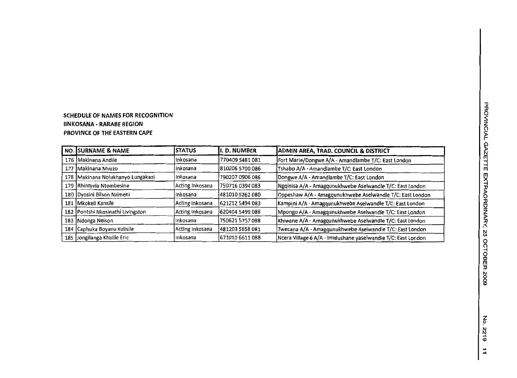#### **SCHEDULE OF NAMES FOR RECOGNITION** liN KOSANA **- RARABE REGION PROVINCE OF THE EASTERN CAPE**

|     | NO. SURNAME & NAME                | <b>ISTATUS</b>  | II. D. NUMBER   | <b>ADMIN AREA, TRAD. COUNCIL &amp; DISTRICT</b>               |
|-----|-----------------------------------|-----------------|-----------------|---------------------------------------------------------------|
| 176 | Makinana Andile                   | linkosana       | 770409 5481 081 | Fort Marie/Dongwe A/A - Amandlambe T/C: East London           |
| 177 | Makinana Mvuzo                    | linkosana       | 810206 5700 086 | Tshabo A/A - Amandlambe T/C: East London                      |
|     | 178 Makinana Nolukhanyo Lungakazi | Inkosana        | 790207 0906 086 | Dongwe A/A - Amandlambe T/C: East London                      |
|     | 179 Rhintyela Ntombesine          | Acting Inkosana | 750716 0394 083 | Ngqinisa A/A - Amagqunukhwebe Aselwandle T/C: East London     |
|     | 180 Dyosini Bilson Nzimeni        | Inkosana        | 481010 6262 080 | Oppeshaw A/A - Amagqunukhwebe Aselwandle T/C: East London     |
| 181 | Mkokeli Kansile                   | Acting Inkosana | 621212 5494 083 | Kampini A/A - Amagqunukhwebe Aselwandle T/C: East London      |
|     | 182 Pontshi Nkosinathi Livingston | Acting Inkosana | 620404 5499 086 | Mpongo A/A - Amagqunukhwebe Aselwandle T/C: East London       |
| 183 | Ndonga Nelson                     | linkosana       | 750621 5757 088 | Khiwane A/A - Amagqunukhwebe Aselwandle T/C: East London      |
| 184 | Caphuka Boyana Kolisile           | Acting Inkosana | 481203 5658 081 | Twecana A/A - Amagqunukhwebe Aselwandle T/C: East London      |
| 185 | Jongilanga Khulile Eric           | Inkosana        | 671010 6611 088 | Ncera Village 6 A/A - Imidushane yaselwandle T/C: East London |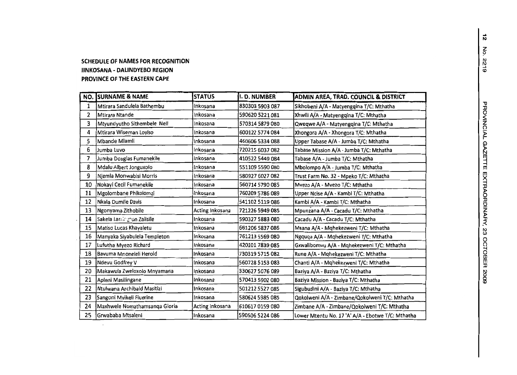### **SCHEDULE OF NAMES FOR RECOGNITION IINKOSANA - DALINDYEBO REGION PROVINCE OF THE EASTERN CAPE**

 $\sim$ 

| NO. | <b>SURNAME &amp; NAME</b>     | <b>STATUS</b>   | <b>I. D. NUMBER</b> | ADMIN AREA, TRAD. COUNCIL & DISTRICT              |
|-----|-------------------------------|-----------------|---------------------|---------------------------------------------------|
| 1   | Mtirara Sandulela Bathembu    | Inkosana        | 830303 5903 087     | Sikhobeni A/A - Matyengqina T/C: Mthatha          |
| 2   | Mtirara Ntande                | Inkosana        | 590620 5221 081     | Xhwili A/A - Matyengqina T/C: Mthatha             |
| 3   | Mtyundyutho Sithembele Nell   | Inkosana        | 570314 5879 080     | Qweqwe A/A - Matyengqina T/C: Mthatha             |
| 4   | Mtirara Wiseman Loyiso        | Inkosana        | 600122 5774 084     | Xhongora A/A - Xhongora T/C: Mthatha              |
| 5   | Mbande Mlamli                 | Inkosana        | 460606 5334 088     | Upper Tabase A/A - Jumba T/C: Mthatha             |
| 6   | Jumba Luvo                    | Inkosana        | 720215 6037 082     | Tabase Mission A/A - Jumba T/C: Mthatha           |
| 7   | Jumba Douglas Fumanekile      | Inkosana        | 410522 5449 084     | Tabase A/A - Jumba T/C: Mthatha                   |
| 8   | Mdalu Albert Jonguxolo        | Inkosana        | 551109 5590 080     | Mbolompo A/A - Jumba T/C: Mthatha                 |
| 9   | Njemla Monwabisi Morris       | Inkosana        | 580927 6027 082     | Trust Farm No. 32 - Mpeko T/C: Mthatha            |
| 10  | Nokayi Cecil Fumanekile       | inkosana        | 560714 5790 085     | Mvezo A/A - Mvezo T/C: Mthatha                    |
| 11  | Mgolombane Phikolomzi         | Inkosana        | 760209 5786 089     | Upper Ncise A/A - Kambi T/C: Mthatha              |
| 12  | Nkala Dumile Davis            | Inkosana        | 541102 5119 086     | Kambi A/A - Kambi T/C: Mthatha                    |
| 13  | Ngonyama Zithobile            | Acting Inkosana | 721226 5949 085     | Mpunzana A/A - Cacadu T/C: Mthatha                |
| 14  | Sakela Larrington Zalisile    | Inkosana        | 590327 5883 080     | Cacadu A/A - Cacadu T/C: Mthatha                  |
| 15  | Matiso Lucas Khayaletu        | Inkosana        | 661206 5837 086     | Msana A/A - Mqhekezweni T/C: Mthatha              |
| 16  | Manyaka Siyabulela Templeton  | Inkosana        | 761213 5569 080     | Ngquqa A/A - Mqhekezweni T/C: Mthatha             |
| 17  | Lufutha Myezo Richard         | inkosana        | 420101 7839 085     | Gxwalibomvu A/A - Mqhekezweni T/C: Mthatha        |
| 18  | Bavuma Mnoneleli Herold       | Inkosana        | 730319 5715 082     | Rune A/A - Mohekezweni T/C: Mthatha               |
| 19  | Ndevu Godfrey V               | Inkosana        | 560728 5153 083     | Chanti A/A - Mqhekezweni T/C: Mthatha             |
| 20  | Makawula Zweloxolo Mnyamana   | Inkosana        | 330627 5076 089     | Baziya A/A - Baziya T/C: Mthatha                  |
| 21  | Apleni Masilingane            | Inkosana        | 570413 5902 080     | Baziya Mission - Baziya T/C: Mthatha              |
| 22  | Ntulwana Archibald Masitizi   | Inkosana        | 501212 5527 085     | Sigubudini A/A - Baziya T/C: Mthatha              |
| 23  | Sangoni Mvikeli Fluerine      | Inkosana        | 580624 5985 085     | Qokolweni A/A - Zimbane/Qokolweni T/C: Mthatha    |
| 24  | Maxhwele Nomathamsanga Gloria | Acting Inkosana | 610617 0159 080     | Zimbane A/A - Zimbane/Qokolweni T/C: Mthatha      |
| 25  | Grwababa Mtsaleni             | Inkosana        | 590506 5224 086     | Lower Mtentu No. 17 'A' A/A - Ebotwe T/C: Mthatha |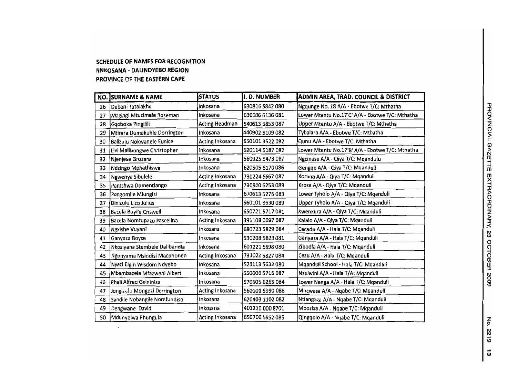#### **SCHEDULE OF NAMES FOR RECOGNITION IINKOSANA - DALINDYEBO REGION PROVINCE m THE EASTERN CAPE**

 $\sim$ 

|    | NO. SURNAME & NAME            | <b>STATUS</b>   | I. D. NUMBER    | ADMIN AREA, TRAD. COUNCIL & DISTRICT            |
|----|-------------------------------|-----------------|-----------------|-------------------------------------------------|
| 26 | Dubeni Tatalakhe              | Inkosana        | 630816 5842 080 | Ngqunge No. 18 A/A - Ebotwe T/C: Mthatha        |
| 27 | Magingi Mtuzimele Roseman     | Inkosana        | 630606 6136 081 | Lower Mtentu No.17'C' A/A - Ebotwe T/C: Mthatha |
| 28 | Gqoboka Pingilili             | Acting Headman  | 540613 5853 087 | Upper Mtentu A/A - Ebotwe T/C: Mthatha          |
| 29 | Mtirara Dumakuhle Dorrington  | Inkosana        | 440902 5109 082 | Tyhalara A/A - Ebotwe T/C: Mthatha              |
| 30 | Balizulu Nokwanele Eunice     | Acting Inkosana | 650101 3522 082 | Qunu A/A - Ebotwe T/C: Mthatha                  |
| 31 | Livi Malibongwe Christopher   | Inkosana        | 620114 5187 082 | Lower Mtentu No.17'B' A/A - Ebotwe T/C: Mthatha |
| 32 | Njenjese Grozana              | inkosana        | 560925 5473 087 | Ngcinase A/A - Qiya T/C: Mqandulu               |
| 33 | Ndzingo Mphathiswa            | Inkosana        | 620505 6170 086 | Gengqe A/A - Qiya T/C: Mqanduli                 |
| 34 | Ngwenya Sibulele              | Acting Inkosana | 730224 5667 087 | Xorana A/A - Qiya T/C: Mqanduli                 |
| 35 | Pantshwa Dumentlango          | Acting Inkosana | 730910 6253 089 | Kroza A/A - Qiya T/C: Mganduli                  |
| 36 | Pongomile Mlungisi            | inkosana        | 670613 5276 083 | Lower Tyholo A/A - Qiya T/C: Mqanduli           |
| 37 | Dinizulu Lizo Julius          | Inkosana        | 560101 8530 089 | Upper Tyholo A/A - Qiya T/C: Mganduli           |
| 38 | Bacela Buyile Criswell        | Inkosana        | 650721 5717 081 | Kwenxura A/A - Qiya T/C: Mqanduli               |
| 39 | Bacela Nomtupazo Pascelina    | Acting Inkosana | 391108 0097 087 | Kalalo A/A - Qiya T/C: Mqanduli                 |
| 40 | Ngxishe Vuyani                | inkosana        | 680723 5829 084 | Cacadu A/A - Hala T/C: Mqanduli                 |
| 41 | Ganyaza Boyce                 | Inkosana        | 530208 5823 081 | Ganyaza A/A - Hala T/C: Mganduli                |
| 42 | Nkosiyane Stembele Dalibandla | Inkosana        | 601221 5898 080 | Zibodla A/A - Haia T/C: Mganduli                |
| 43 | Ngonyama Msindisi Macphonen   | Acting Inkosana | 731022 5827 084 | Cezu A/A - Hala T/C: Mqanduli                   |
| 44 | Nyezi Elgin Wisdom Ndyebo     | Inkosana        | 520113 5632 080 | Mganduli School - Hala T/C: Mganduli            |
| 45 | Mbambazela Mfazweni Albert    | Inkosana        | 550606 5716 087 | Nzulwini A/A - Hala T/A: Mganduli               |
| 46 | Phali Alfred Gxininisa        | inkosana        | 570505 6265 084 | Lower Nenga A/A - Hala T/C: Mqanduli            |
| 47 | Jongizulu Mongezi Derrington  | Acting Inkosana | 560101 5990 088 | Mncwasa A/A - Ngabe T/C: Mqanduli               |
| 48 | Sandile Nobangile Nomfundiso  | inkosana        | 620403 1102 082 | Ntiangaza A/A - Ngabe T/C: Mganduli             |
| 49 | Dengwane David                | Inkosana        | 401210 000 8701 | Mbozisa A/A - Ngabe T/C: Mganduli               |
| 50 | Mdunyelwa Phungula            | Acting Inkosana | 650706 5952 085 | Qingqolo A/A - Ngabe T/C: Mganduli              |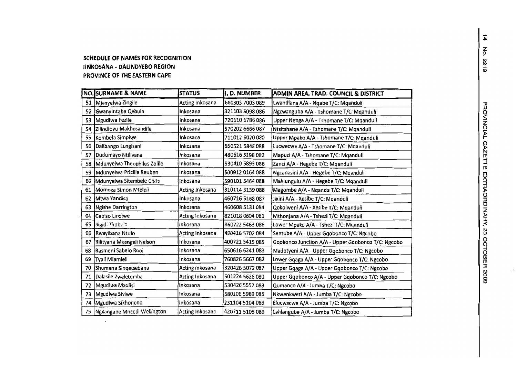#### **SCHEDULE OF NAMES FOR RECOGNITION IINKOSANA . DALINDYEBO REGION PROVINCE OF THE EASTERN CAPE**

|    | <b>NO. SURNAME &amp; NAME</b> | <b>STATUS</b>   | I. D. NUMBER    | ADMIN AREA, TRAD. COUNCIL & DISTRICT               |
|----|-------------------------------|-----------------|-----------------|----------------------------------------------------|
| 51 | Mjanyelwa Zingile             | Acting Inkosana | 660303 7003 089 | Lwandlana A/A - Ngabe T/C: Mganduli                |
| 52 | Gwanyintaba Qebula            | Inkosana        | 321103 5098 086 | Ngcwanguba A/A - Tshomane T/C: Mqanduli            |
| 53 | Mgudlwa Fezile                | Inkosana        | 720610 6786 086 | Upper Nenga A/A - Tshomane T/C: Mqanduli           |
| 54 | Zilindlovu Makhosandile       | Inkosana        | 570202 6666 087 | Ntsitshane A/A - Tshomane T/C: Mganduli            |
| 55 | Kombela Simpiwe               | Inkosana        | 711012 6020 080 | Upper Mpako A/A - Tshomane T/C: Mqanduli           |
| 56 | Dalibango Lungisani           | Inkosana        | 650521 5848 088 | Lucwecwe A/A - Tshomane T/C: Mganduli              |
| 57 | Dudumayo Ntilivana            | inkosana        | 480616 5198 082 | Mapuzi A/A - Tshomane T/C: Mganduli                |
| 58 | Mdunyelwa Theophilus Zolile   | Inkosana        | 530410 5893 086 | Zanci A/A - Hegebe T/C: Mqanduli                   |
| 59 | Mdunyelwa Pricilla Reuben     | Inkosana        | 500912 0164 088 | Ngcanasini A/A - Hegebe T/C: Mqanduli              |
| 60 | Mdunyelwa Sitembele Chris     | Inkosana        | 590101 5464 088 | Mahlungulu A/A - Hegebe T/C: Mqanduli              |
| 61 | Momoza Simon Mteleli          | Acting Inkosana | 310114 5139 088 | Magombe A/A - Nganda T/C: Mganduli                 |
| 62 | lMtwa Yandisa                 | Inkosana        | 460716 5168 087 | Jixini A/A - Xesibe T/C: Mqanduli                  |
| 63 | Ngishe Darrington             | Inkosana        | 460608 5131 084 | Qokolweni A/A - Xesibe T/C: Mqanduli               |
| 64 | Cebiso Lindiwe                | Acting Inkosana | 821018 0604 081 | Mthonjana A/A - Tshezi T/C: Mqanduli               |
| 65 | Sigidi Thobala                | Inkosana        | 860722 5463 086 | Lower Mpako A/A - Tshezi T/C: Mqanduli             |
| 66 | Rwayibana Ntulo               | Acting Inkosana | 490416 5702 084 | Sentube A/A - Upper Gqobonco T/C: Ngcobo           |
| 67 | Rilityana Mkangeli Nelson     | Inkosana        | 400721 5415 085 | Gqobonco Junction A/A - Upper Gqobonco T/C: Ngcobo |
| 68 | Rasmeni Sabelo Rooi           | Inkosana        | 650616 6241 083 | Madotyeni A/A - Upper Gqobonco T/C: Ngcobo         |
| 69 | Tyali Mlamleli                | Inkosana        | 760826 5667 082 | Lower Gqaga A/A - Upper Gqobonco T/C: Ngcobo       |
| 70 | Shumane Singetsebana          | Acting Inkosana | 320426 5072 087 | Upper Gqaga A/A - Upper Gqobonco T/C: Ngcobo       |
| 71 | Dalasile Zweletemba           | Acting Inkosana | 501224 5626 080 | Upper Gqobonco A/A - Upper Gqobonco T/C: Ngcobo    |
| 72 | Mgudlwa Mxolisi               | Inkosana        | 530426 5557 083 | Qumanco A/A - Jumba T/C: Ngcobo                    |
| 73 | Mgudlwa Siviwe                | Inkosana        | 580106 5989 085 | Nkwenkwezi A/A - Jumba T/C: Ngcobo                 |
| 74 | Mgudlwa Sikhonono             | inkosana        | 231104 5104 089 | Elucwecwe A/A - Jumba T/C: Ngcobo                  |
| 75 | Ngxangane Mncedi Wellington   | Acting Inkosana | 420711 5105 089 | Lahlangube A/A - Jumba T/C: Ngcobo                 |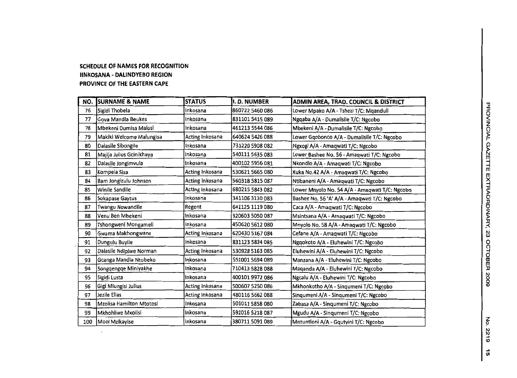#### **SCHEDULE OF NAMES FOR RECOGNITION IINKOSANA - DALINDYEBO REGION PROVINCE OF THE EASTERN CAPE**

 $\mathcal{L}^{\pm}$ 

| NO. | <b>SURNAME &amp; NAME</b> | <b>STATUS</b>   | I. D. NUMBER    | ADMIN AREA, TRAD. COUNCIL & DISTRICT           |
|-----|---------------------------|-----------------|-----------------|------------------------------------------------|
| 76  | Sigidi Thobela            | inkosana        | 860722 5460 086 | Lower Mpako A/A - Tshezi T/C: Mqanduli         |
| 77  | Gova Mandia Beukes        | Inkosana        | 831101 5415 089 | Ngqaba A/A - Dumalisile T/C: Ngcobo            |
| 78  | Mbekeni Dumisa Malusi     | Inkosana        | 461213 5544 086 | Mbekeni A/A - Dumalisile T/C: Ngcobo           |
| 79  | Makiki Welcome Malungisa  | Acting Inkosana | 640624 5426 088 | Lower Gqobonco A/A - Dumalisile T/C: Ngcobo    |
| 80  | Dalasile Sibongile        | Inkosana        | 731220 5908 082 | Ngxogi A/A - Amaqwati T/C: Ngcobo              |
| 81  | Majija Julius Gcinikhaya  | Inkosana        | 540111 5635 083 | Lower Bashee No. 56 - Amaqwati T/C: Ngcobo     |
| 82  | Dalasile Jongimvula       | Inkosana        | 400102 5956 081 | Nkondlo A/A - Amaqwati T/C: Ngcobo             |
| 83  | Kompela Sisa              | Acting Inkosana | 530621 5665 080 | Xuka No.42 A/A - Amaqwati T/C: Ngcobo          |
| 84  | Bam Jongizulu Johnson     | Acting Inkosana | 560318 5815 087 | Ntibaneni A/A - Amaqwati T/C: Ngcobo           |
| 85  | Winile Sandile            | Acting Inkosana | 680215 5843 082 | Lower Mnyolo No. 54 A/A - Amagwati T/C: Ngcobo |
| 86  | Sokapase Gaytus           | Inkosana        | 341106 3130 083 | Bashee No. 56 'A' A/A - Amaqwati T/C: Ngcobo   |
| 87  | Twangu Nowandile          | Regent          | 641125 1119 080 | Caca A/A - Amaqwati T/C: Ngcobo                |
| 88  | Venu Ben Mbekeni          | Inkosana        | 320603 5050 087 | Msintsana A/A - Amaqwati T/C: Ngcobo           |
| 89  | Tshongweni Mongameli      | Inkosana        | 450620 5612 080 | Mnyolo No. 58 A/A - Amaqwati T/C: Ngcobo       |
| 90  | Gwama Makhongwana         | Acting Inkosana | 620430 5167 084 | Cefane A/A - Amaqwati T/C: Ngcobo              |
| 91  | Dungulu Buyile            | Inkosana        | 831123 5834 085 | Ngqokoto A/A - Eluhewini T/C: Ngcobo           |
| 92  | Dalasile Ndipiwe Norman   | Acting Inkosana | 530928 5163 085 | Eluhewini A/A - Eluhewini T/C: Ngcobo          |
| 93  | Gcanga Mandla Ntobeko     | Inkosana        | 551001 5694 089 | Manzana A/A - Eluhewini T/C: Ngcobo            |
| 94  | Songqengqe Miniyakhe      | Inkosana        | 710413 5828 088 | Maqanda A/A - Eluhewini T/C: Ngcobo            |
| 95  | Sigidi Lusta              | Inkosana        | 400101 9972 086 | Ngcalu A/A - Eluhewini T/C: Ngcobo             |
| 96  | Gigi Mlungisi Julius      | Acting Inkosana | 500607 5250 086 | Mkhonkotho A/A - Singumeni T/C: Ngcobo         |
| 97  | Jezile Elias              | Acting Inkosana | 480116 5662 088 | Sinqumeni A/A - Sinqumeni T/C: Ngcobo          |
| 98  | Mzolisa Hamilton Mtotosi  | Inkosana        | 501011 5858 080 | Zabasa A/A - Sinqumeni T/C: Ngcobo             |
| 99  | Mkhohliwe Mxolisi         | Inkosana        | 591016 5218 087 | Mgudu A/A - Singumeni T/C: Ngcobo              |
| 100 | Mooi Mzikayise            | Inkosana        | 380711 5091 089 | Mntuntloni A/A - Gqutyini T/C: Ngcobo          |

z P